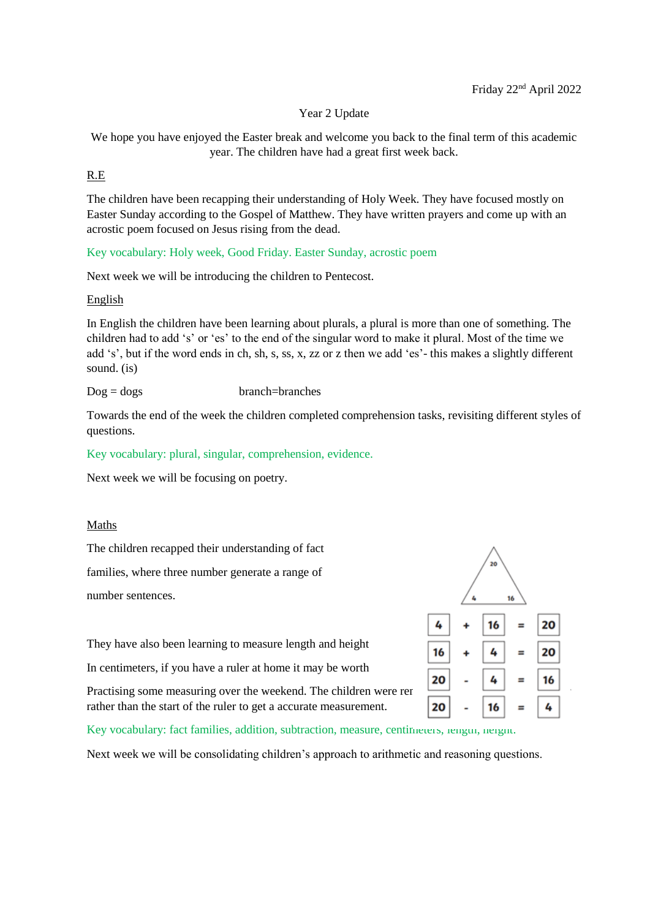Year 2 Update

We hope you have enjoyed the Easter break and welcome you back to the final term of this academic year. The children have had a great first week back.

### R.E

The children have been recapping their understanding of Holy Week. They have focused mostly on Easter Sunday according to the Gospel of Matthew. They have written prayers and come up with an acrostic poem focused on Jesus rising from the dead.

Key vocabulary: Holy week, Good Friday. Easter Sunday, acrostic poem

Next week we will be introducing the children to Pentecost.

#### English

In English the children have been learning about plurals, a plural is more than one of something. The children had to add 's' or 'es' to the end of the singular word to make it plural. Most of the time we add 's', but if the word ends in ch, sh, s, ss, x, zz or z then we add 'es'- this makes a slightly different sound. (is)

Dog = dogs branch=branches

Towards the end of the week the children completed comprehension tasks, revisiting different styles of questions.

Key vocabulary: plural, singular, comprehension, evidence.

Next week we will be focusing on poetry.

### Maths

The children recapped their understanding of fact

families, where three number generate a range of

number sentences.

They have also been learning to measure length and height

In centimeters, if you have a ruler at home it may be worth

Practising some measuring over the weekend. The children were remedered to start at the 0cm marker. rather than the start of the ruler to get a accurate measurement.



Key vocabulary: fact families, addition, subtraction, measure, centimeters, rength, neight.

Next week we will be consolidating children's approach to arithmetic and reasoning questions.